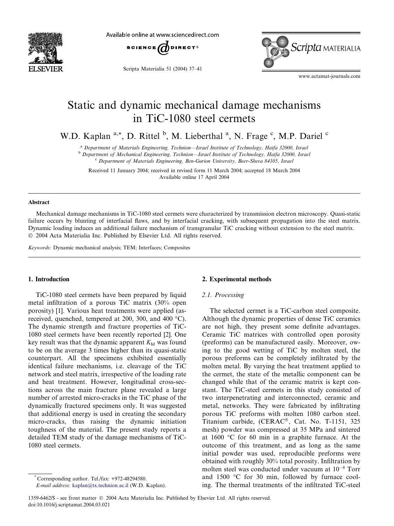

Available online at www.sciencedirect.com



Scripta Materialia 51 (2004) 37–41



www.actamat-journals.com

# Static and dynamic mechanical damage mechanisms in TiC-1080 steel cermets

W.D. Kaplan<sup>a,\*</sup>, D. Rittel <sup>b</sup>, M. Lieberthal<sup>a</sup>, N. Frage <sup>c</sup>, M.P. Dariel <sup>c</sup>

<sup>a</sup> Department of Materials Engineering, Technion––Israel Institute of Technology, Haifa 32000, Israel

<sup>b</sup> Department of Mechanical Engineering, Technion––Israel Institute of Technology, Haifa 32000, Israel <sup>c</sup> Department of Materials Engineering, Ben-Gurion University, Beer-Sheva 84105, Israel

Received 11 January 2004; received in revised form 11 March 2004; accepted 18 March 2004 Available online 17 April 2004

#### Abstract

Mechanical damage mechanisms in TiC-1080 steel cermets were characterized by transmission electron microscopy. Quasi-static failure occurs by blunting of interfacial flaws, and by interfacial cracking, with subsequent propagation into the steel matrix. Dynamic loading induces an additional failure mechanism of transgranular TiC cracking without extension to the steel matrix. 2004 Acta Materialia Inc. Published by Elsevier Ltd. All rights reserved.

Keywords: Dynamic mechanical analysis; TEM; Interfaces; Composites

# 1. Introduction

TiC-1080 steel cermets have been prepared by liquid metal infiltration of a porous TiC matrix (30% open porosity) [1]. Various heat treatments were applied (asreceived, quenched, tempered at 200, 300, and 400  $^{\circ}$ C). The dynamic strength and fracture properties of TiC-1080 steel cermets have been recently reported [2]. One key result was that the dynamic apparent  $K<sub>Id</sub>$  was found to be on the average 3 times higher than its quasi-static counterpart. All the specimens exhibited essentially identical failure mechanisms, i.e. cleavage of the TiC network and steel matrix, irrespective of the loading rate and heat treatment. However, longitudinal cross-sections across the main fracture plane revealed a large number of arrested micro-cracks in the TiC phase of the dynamically fractured specimens only. It was suggested that additional energy is used in creating the secondary micro-cracks, thus raising the dynamic initiation toughness of the material. The present study reports a detailed TEM study of the damage mechanisms of TiC-1080 steel cermets.

# 2.1. Processing

The selected cermet is a TiC-carbon steel composite. Although the dynamic properties of dense TiC ceramics are not high, they present some definite advantages. Ceramic TiC matrices with controlled open porosity (preforms) can be manufactured easily. Moreover, owing to the good wetting of TiC by molten steel, the porous preforms can be completely infiltrated by the molten metal. By varying the heat treatment applied to the cermet, the state of the metallic component can be changed while that of the ceramic matrix is kept constant. The TiC-steel cermets in this study consisted of two interpenetrating and interconnected, ceramic and metal, networks. They were fabricated by infiltrating porous TiC preforms with molten 1080 carbon steel. Titanium carbide, (CERAC®, Cat. No. T-1151, 325 mesh) powder was compressed at 35 MPa and sintered at  $1600$  °C for 60 min in a graphite furnace. At the outcome of this treatment, and as long as the same initial powder was used, reproducible preforms were obtained with roughly 30% total porosity. Infiltration by molten steel was conducted under vacuum at  $10^{-4}$  Torr and  $1500$  °C for 30 min, followed by furnace cooling. The thermal treatments of the infiltrated TiC-steel

<sup>2.</sup> Experimental methods

Corresponding author. Tel./fax: +972-48294580.

E-mail address: [kaplan@tx.technion.ac.il](mail to: kaplan@tx.technion.ac.il) (W.D. Kaplan).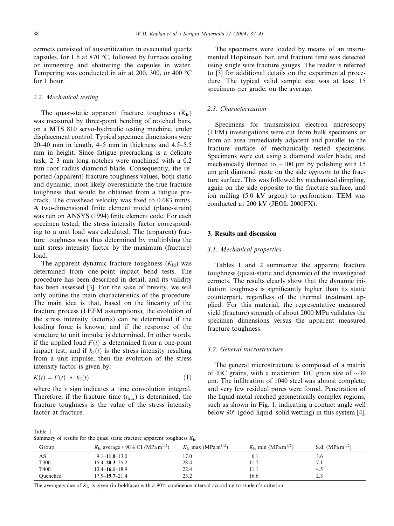cermets consisted of austenitization in evacuated quartz capsules, for 1 h at 870  $\degree$ C, followed by furnace cooling or immersing and shattering the capsules in water. Tempering was conducted in air at 200, 300, or 400  $^{\circ}$ C for 1 hour.

#### 2.2. Mechanical testing

The quasi-static apparent fracture toughness  $(K_{1c})$ was measured by three-point bending of notched bars, on a MTS 810 servo-hydraulic testing machine, under displacement control. Typical specimen dimensions were 20–40 mm in length, 4–5 mm in thickness and 4.5–5.5 mm in height. Since fatigue precracking is a delicate task, 2–3 mm long notches were machined with a 0.2 mm root radius diamond blade. Consequently, the reported (apparent) fracture toughness values, both static and dynamic, most likely overestimate the true fracture toughness that would be obtained from a fatigue precrack. The crosshead velocity was fixed to 0.083 mm/s. A two-dimensional finite element model (plane-strain) was run on ANSYS (1994) finite element code. For each specimen tested, the stress intensity factor corresponding to a unit load was calculated. The (apparent) fracture toughness was thus determined by multiplying the unit stress intensity factor by the maximum (fracture) load.

The apparent dynamic fracture toughness  $(K<sub>Id</sub>)$  was determined from one-point impact bend tests. The procedure has been described in detail, and its validity has been assessed [3]. For the sake of brevity, we will only outline the main characteristics of the procedure. The main idea is that, based on the linearity of the fracture process (LEFM assumptions), the evolution of the stress intensity factor(s) can be determined if the loading force is known, and if the response of the structure to unit impulse is determined. In other words, if the applied load  $F(t)$  is determined from a one-point impact test, and if  $k_{\delta}(t)$  is the stress intensity resulting from a unit impulse, then the evolution of the stress intensity factor is given by:

$$
K(t) = F(t) * k_{\delta}(t) \tag{1}
$$

where the  $*$  sign indicates a time convolution integral. Therefore, if the fracture time  $(t_{\text{frac}})$  is determined, the fracture toughness is the value of the stress intensity factor at fracture.

The specimens were loaded by means of an instrumented Hopkinson bar, and fracture time was detected using single wire fracture gauges. The reader is referred to [3] for additional details on the experimental procedure. The typical valid sample size was at least 15 specimens per grade, on the average.

## 2.3. Characterization

Specimens for transmission electron microscopy (TEM) investigations were cut from bulk specimens or from an area immediately adjacent and parallel to the fracture surface of mechanically tested specimens. Specimens were cut using a diamond wafer blade, and mechanically thinned to  $\sim$ 100 µm by polishing with 15 um grit diamond paste on the side *opposite* to the fracture surface. This was followed by mechanical dimpling, again on the side opposite to the fracture surface, and ion milling (5.0 kV argon) to perforation. TEM was conducted at 200 kV (JEOL 2000FX).

#### 3. Results and discussion

#### 3.1. Mechanical properties

Tables 1 and 2 summarize the apparent fracture toughness (quasi-static and dynamic) of the investigated cermets. The results clearly show that the dynamic initiation toughness is significantly higher than its static counterpart, regardless of the thermal treatment applied. For this material, the representative measured yield (fracture) strength of about 2000 MPa validates the specimen dimensions versus the apparent measured fracture toughness.

## 3.2. General microstructure

The general microstructure is composed of a matrix of TiC grains, with a maximum TiC grain size of  $\sim 30$  $\mu$ m. The infiltration of 1040 steel was almost complete, and very few residual pores were found. Penetration of the liquid metal reached geometrically complex regions, such as shown in Fig. 1, indicating a contact angle well below 90° (good liquid–solid wetting) in this system [4].

Table 1 Summary of results for the quasi static fracture apparent toughness  $K_{1c}$ 

|          | ÷                                                        |                                             |                                             |                                           |
|----------|----------------------------------------------------------|---------------------------------------------|---------------------------------------------|-------------------------------------------|
| Group    | $K_{\text{Ic}}$ average + 90% CI (MPa m <sup>1/2</sup> ) | $K_{\text{Ic}}$ max (MPa m <sup>1/2</sup> ) | $K_{\text{Ic}}$ min (MPa m <sup>1/2</sup> ) | S.d. (MPa m <sup><math>1/2</math></sup> ) |
| AS       | $9.1 - 11.0 - 13.0$                                      | 17.0                                        | 0. I                                        | 3.0                                       |
| T300     | $15.4 - 20.3 - 25.2$                                     | 28.4                                        | 11.7                                        | 7.1                                       |
| T400     | $13.4 - 16.1 - 18.9$                                     | 22.4                                        | 11.1                                        | -4.5                                      |
| Ouenched | $17.9 - 19.7 - 21.4$                                     | 23.2                                        | 16.6                                        | 2.5                                       |

The average value of  $K_{\text{Ic}}$  is given (in boldface) with a 90% confidence interval according to student's criterion.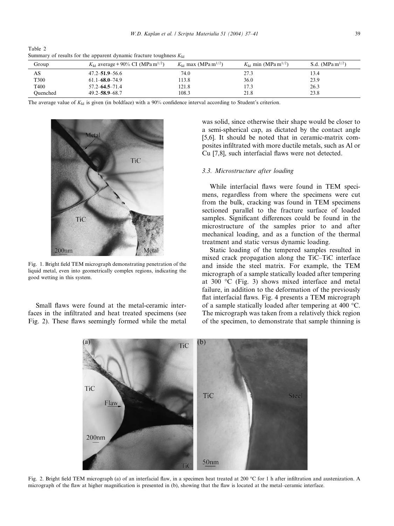Table 2 Summary of results for the apparent dynamic fracture toughness  $K_{\text{Id}}$ 

| Group    | $K_{\text{Id}}$ average + 90% CI (MPa m <sup>1/2</sup> ) | $K_{\rm Id}$ max (MPa m <sup>1/2</sup> ) | $K_{\text{Id}}$ min (MPa m <sup>1/2</sup> ) | S.d. $(MPa m^{1/2})$ |
|----------|----------------------------------------------------------|------------------------------------------|---------------------------------------------|----------------------|
| AS       | $47.2 - 51.9 - 56.6$                                     | 74.0                                     | 27.3                                        | 13.4                 |
| T300     | $61.1 - 68.0 - 74.9$                                     | 113.8                                    | 36.0                                        | 23.9                 |
| T400     | $57.2 - 64.5 - 71.4$                                     | 121.8                                    | 17.3                                        | 26.3                 |
| Ouenched | $49.2 - 58.9 - 68.7$                                     | 108.3                                    | 21.8                                        | 23.8                 |

The average value of  $K_{\text{Id}}$  is given (in boldface) with a 90% confidence interval according to Student's criterion.



Fig. 1. Bright field TEM micrograph demonstrating penetration of the liquid metal, even into geometrically complex regions, indicating the good wetting in this system.

Small flaws were found at the metal-ceramic interfaces in the infiltrated and heat treated specimens (see Fig. 2). These flaws seemingly formed while the metal was solid, since otherwise their shape would be closer to a semi-spherical cap, as dictated by the contact angle [5,6]. It should be noted that in ceramic-matrix composites infiltrated with more ductile metals, such as Al or Cu [7,8], such interfacial flaws were not detected.

## 3.3. Microstructure after loading

While interfacial flaws were found in TEM specimens, regardless from where the specimens were cut from the bulk, cracking was found in TEM specimens sectioned parallel to the fracture surface of loaded samples. Significant differences could be found in the microstructure of the samples prior to and after mechanical loading, and as a function of the thermal treatment and static versus dynamic loading.

Static loading of the tempered samples resulted in mixed crack propagation along the TiC–TiC interface and inside the steel matrix. For example, the TEM micrograph of a sample statically loaded after tempering at 300  $\degree$ C (Fig. 3) shows mixed interface and metal failure, in addition to the deformation of the previously flat interfacial flaws. Fig. 4 presents a TEM micrograph of a sample statically loaded after tempering at 400  $^{\circ}$ C. The micrograph was taken from a relatively thick region of the specimen, to demonstrate that sample thinning is



Fig. 2. Bright field TEM micrograph (a) of an interfacial flaw, in a specimen heat treated at 200 °C for 1 h after infiltration and austenization. A micrograph of the flaw at higher magnification is presented in (b), showing that the flaw is located at the metal–ceramic interface.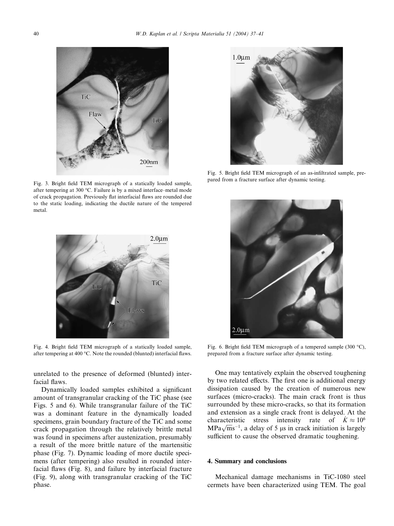

Fig. 3. Bright field TEM micrograph of a statically loaded sample, after tempering at 300 °C. Failure is by a mixed interface–metal mode of crack propagation. Previously flat interfacial flaws are rounded due to the static loading, indicating the ductile nature of the tempered metal.



Fig. 4. Bright field TEM micrograph of a statically loaded sample, after tempering at 400  $^{\circ}$ C. Note the rounded (blunted) interfacial flaws.

unrelated to the presence of deformed (blunted) interfacial flaws.

Dynamically loaded samples exhibited a significant amount of transgranular cracking of the TiC phase (see Figs. 5 and 6). While transgranular failure of the TiC was a dominant feature in the dynamically loaded specimens, grain boundary fracture of the TiC and some crack propagation through the relatively brittle metal was found in specimens after austenization, presumably a result of the more brittle nature of the martensitic phase (Fig. 7). Dynamic loading of more ductile specimens (after tempering) also resulted in rounded interfacial flaws (Fig. 8), and failure by interfacial fracture (Fig. 9), along with transgranular cracking of the TiC phase.



Fig. 5. Bright field TEM micrograph of an as-infiltrated sample, prepared from a fracture surface after dynamic testing.



Fig. 6. Bright field TEM micrograph of a tempered sample  $(300 °C)$ , prepared from a fracture surface after dynamic testing.

One may tentatively explain the observed toughening by two related effects. The first one is additional energy dissipation caused by the creation of numerous new surfaces (micro-cracks). The main crack front is thus surrounded by these micro-cracks, so that its formation and extension as a single crack front is delayed. At the characteristic stress intensity rate of  $K \approx 10^6$ MPa $\sqrt{m} s^{-1}$ , a delay of 5 µs in crack initiation is largely sufficient to cause the observed dramatic toughening.

#### 4. Summary and conclusions

Mechanical damage mechanisms in TiC-1080 steel cermets have been characterized using TEM. The goal